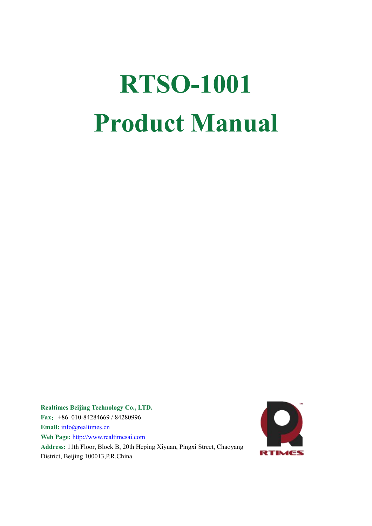# **RTSO-1001 Product Manual**

**Realtimes Beijing Technology Co., LTD. Fax**:+86 010-84284669 / 84280996 **Email:** [info@realtimes.cn](mailto:info@realtimes.cn) **Web Page:** <http://www.realtimesai.com> Address: 11th Floor, Block B, 20th Heping Xiyuan, Pingxi Street, Chaoyang District, Beijing 100013,P.R.China

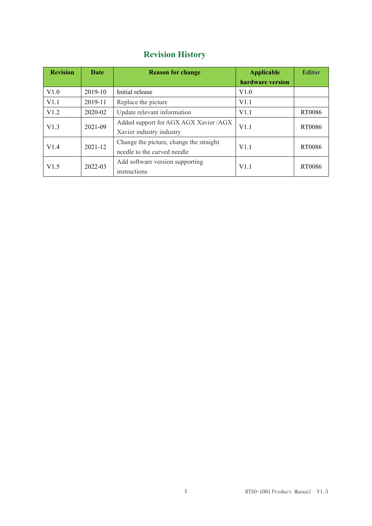### **Revision History**

| <b>Revision</b> | Date                          | <b>Reason for change</b>                | <b>Applicable</b> | <b>Editor</b> |
|-----------------|-------------------------------|-----------------------------------------|-------------------|---------------|
|                 |                               |                                         | hardware version  |               |
| V1.0            | 2019-10                       | Initial release                         | V1.0              |               |
| V1.1            | 2019-11                       | Replace the picture                     | V1.1              |               |
| V1.2            | 2020-02                       | Update relevant information             | V1.1              | RT0086        |
| V1.3            |                               | Added support for AGX AGX Xavier /AGX   |                   | RT0086        |
|                 | 2021-09<br>2021-12<br>2022-03 | Xavier industry industry                | V1.1              |               |
|                 |                               | Change the picture, change the straight | V1.1              | RT0086        |
| V1.4            |                               | needle to the curved needle             |                   |               |
| V1.5            |                               | Add software version supporting         | V1.1              | RT0086        |
|                 |                               | instructions                            |                   |               |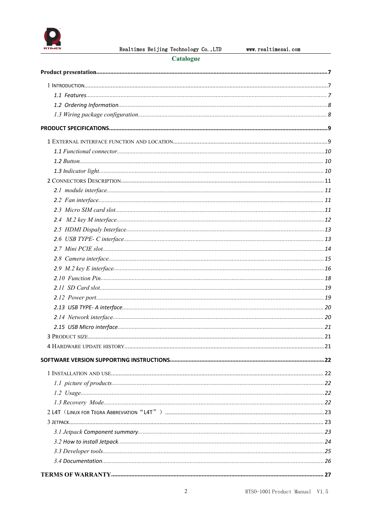

Realtimes Beijing Technology Co., LTD

### Catalogue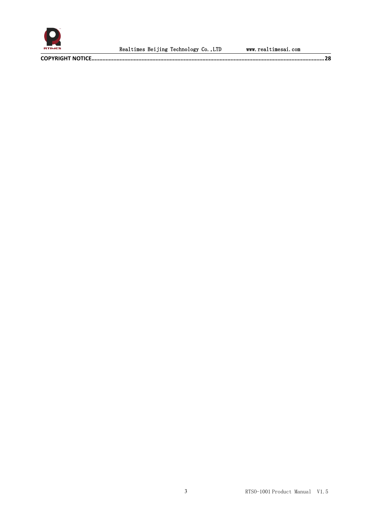

**COPYRIGHT NOTICE[.....................................................................................................................................................](#page-28-0)28**

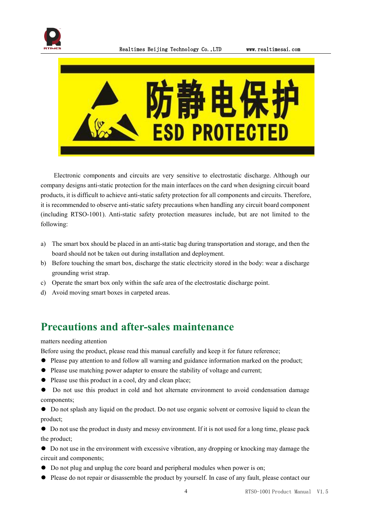



Electronic components and circuits are very sensitive to electrostatic discharge. Although our company designs anti-static protection for the main interfaces on the card when designing circuit board products, it is difficult to achieve anti-static safety protection for all components and circuits. Therefore, it is recommended to observe anti-static safety precautions when handling any circuit board component (including RTSO-1001). Anti-static safety protection measures include, but are not limited to the following:

- a) The smart box should be placed in an anti-static bag during transportation and storage, and then the board should not be taken out during installation and deployment.
- b) Before touching the smart box, discharge the static electricity stored in the body: wear a discharge grounding wrist strap.
- c) Operate the smart box only within the safe area of the electrostatic discharge point.
- d) Avoid moving smart boxes in carpeted areas.

### **Precautions and after-sales maintenance**

#### matters needing attention

Before using the product, please read this manual carefully and keep it for future reference;

- ⚫ Please pay attention to and follow all warning and guidance information marked on the product;
- ⚫ Please use matching power adapter to ensure the stability of voltage and current;
- ⚫ Please use this product in a cool, dry and clean place;
- ⚫ Do not use this product in cold and hot alternate environment to avoid condensation damage components;

⚫ Do not splash any liquid on the product. Do not use organic solvent or corrosive liquid to clean the product;

⚫ Do not use the product in dusty and messy environment. If it is not used for a long time, please pack the product;

⚫ Do not use in the environment with excessive vibration, any dropping or knocking may damage the circuit and components;

- ⚫ Do not plug and unplug the core board and peripheral modules when power is on;
- Please do not repair or disassemble the product by yourself. In case of any fault, please contact our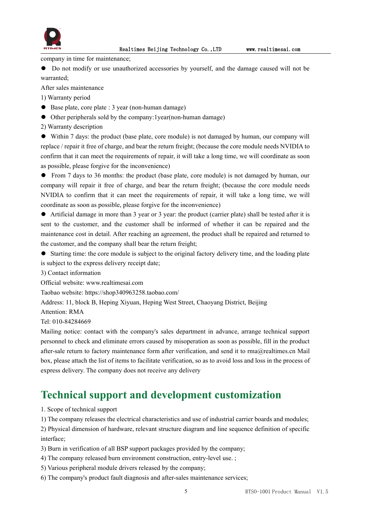

company in time for maintenance;

⚫ Do not modify or use unauthorized accessories by yourself, and the damage caused will not be warranted;

After sales maintenance

1) Warranty period

- Base plate, core plate : 3 year (non-human damage)
- ⚫ Other peripherals sold by the company:1year(non-human damage)
- 2) Warranty description

⚫ Within 7 days: the product (base plate, core module) is not damaged by human, our company will replace / repair it free of charge, and bear the return freight; (because the core module needs NVIDIA to confirm that it can meet the requirements of repair, it will take a long time, we will coordinate as soon as possible, please forgive for the inconvenience)

● From 7 days to 36 months: the product (base plate, core module) is not damaged by human, our company will repair it free of charge, and bear the return freight; (because the core module needs NVIDIA to confirm that it can meet the requirements of repair, it will take a long time, we will coordinate as soon as possible, please forgive for the inconvenience)

⚫ Artificial damage in more than 3 year or 3 year: the product (carrier plate) shall be tested after it is sent to the customer, and the customer shall be informed of whether it can be repaired and the maintenance cost in detail. After reaching an agreement, the product shall be repaired and returned to the customer, and the company shall bear the return freight;

⚫ Starting time: the core module is subject to the original factory delivery time, and the loading plate is subject to the express delivery receipt date;

3) Contact information

Official website: www.realtimesai.com

Taobao website: https://shop340963258.taobao.com/

Address: 11, block B, Heping Xiyuan, Heping West Street, Chaoyang District, Beijing

Attention: RMA

Tel: 010-84284669

Mailing notice: contact with the company's sales department in advance, arrange technical support personnel to check and eliminate errors caused by misoperation as soon as possible, fill in the product after-sale return to factory maintenance form after verification, and send it to rma@realtimes.cn Mail box, please attach the list of items to facilitate verification, so as to avoid loss and loss in the process of express delivery. The company does not receive any delivery

### **Technical support and development customization**

1. Scope of technical support

1) The company releases the electrical characteristics and use of industrial carrier boards and modules;

2) Physical dimension of hardware, relevant structure diagram and line sequence definition of specific interface;

3) Burn in verification of all BSP support packages provided by the company;

- 4) The company released burn environment construction, entry-level use. ;
- 5) Various peripheral module drivers released by the company;
- 6) The company's product fault diagnosis and after-sales maintenance services;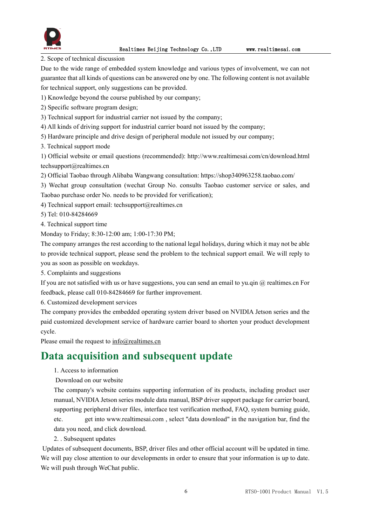

2. Scope of technical discussion

Due to the wide range of embedded system knowledge and various types of involvement, we can not guarantee that all kinds of questions can be answered one by one. The following content is not available for technical support, only suggestions can be provided.

- 1) Knowledge beyond the course published by our company;
- 2) Specific software program design;
- 3) Technical support for industrial carrier not issued by the company;
- 4) All kinds of driving support for industrial carrier board not issued by the company;
- 5) Hardware principle and drive design of peripheral module not issued by our company;
- 3. Technical support mode

1) Official website or email questions (recommended): http://www.realtimesai.com/cn/download.html techsupport@realtimes.cn

- 2) Official Taobao through Alibaba Wangwang consultation: https://shop340963258.taobao.com/
- 3) Wechat group consultation (wechat Group No. consults Taobao customer service or sales, and Taobao purchase order No. needs to be provided for verification);
- 4) Technical support email: techsupport@realtimes.cn
- 5) Tel: 010-84284669
- 4. Technical support time

Monday to Friday; 8:30-12:00 am; 1:00-17:30 PM;

The company arranges the rest according to the national legal holidays, during which it may not be able to provide technical support, please send the problem to the technical support email. We will reply to you as soon as possible on weekdays.

5. Complaints and suggestions

If you are not satisfied with us or have suggestions, you can send an email to yu.qin  $\omega$  realtimes.cn For feedback, please call 010-84284669 for further improvement.

6. Customized development services

The company provides the embedded operating system driver basedon NVIDIA Jetson series and the paid customized development service of hardware carrier board to shorten your product development cycle.

Please email the request to [info@realtimes.cn](mailto:info@realtimes.cn)

### **Data acquisition and subsequent update**

- 1. Access to information
- Download on our website

The company's website contains supporting information of its products, including product user manual, NVIDIA Jetson series module data manual, BSP driver support package for carrier board, supporting peripheral driver files, interface test verification method, FAQ, system burning guide, etc. get into www.realtimesai.com , select "data download" in the navigation bar, find the data you need, and click download.

2. . Subsequent updates

Updates of subsequent documents, BSP, driver files and other official account will be updated in time. We will pay close attention to our developments in order to ensure that your information is up to date. We will push through WeChat public.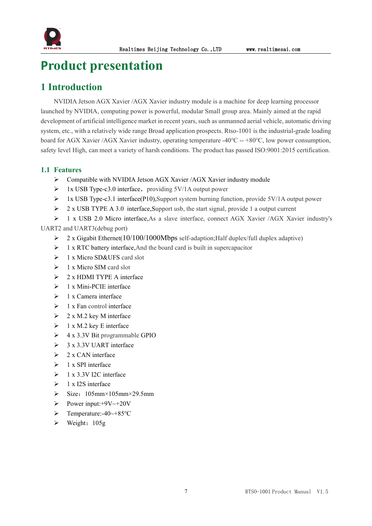

### <span id="page-7-0"></span>**Product presentation**

### <span id="page-7-1"></span>**1 Introduction**

NVIDIA Jetson AGX Xavier /AGX Xavier industry module is a machine for deep learning processor launched by NVIDIA, computing power is powerful, modular Small group area. Mainly aimed at the rapid development of artificial intelligence market in recent years, such as unmanned aerial vehicle, automatic driving system, etc., with a relatively wide range Broad application prospects. Rtso-1001 is the industrial-grade loading board for AGX Xavier /AGX Xavier industry, operating temperature -40℃ -- +80℃, low power consumption, safety level High, can meet a variety of harsh conditions. The product has passed ISO:9001:2015 certification.

### <span id="page-7-2"></span>**1.1 Features**

- Compatible with NVIDIA Jetson AGX Xavier /AGX Xavier industry module
- $\triangleright$  1x USB Type-c3.0 interface, providing 5V/1A output power
- 1x USB Type-c3.1 interface(P10),Support system burning function, provide 5V/1A output power
- $\geq 2$  x USB TYPE A 3.0 interface, Support usb, the start signal, provide 1 a output current
- 1 x USB 2.0 Micro interface,As a slave interface, connect AGX Xavier /AGX Xavier industry's

UART2 and UART3(debug port)

- $\geq 2$  x Gigabit Ethernet(10/100/1000Mbps self-adaption; Half duplex/full duplex adaptive)
- $\triangleright$  1 x RTC battery interface, And the board card is built in supercapacitor
- $\geq 1$  x Micro SD&UFS card slot
- $\geq 1$  x Micro SIM card slot
- $\geq 2$  x HDMI TYPE A interface
- $\geq 1$  x Mini-PCIE interface
- $\geq 1$  x Camera interface
- $\geq 1$  x Fan control interface
- $\geq 2$  x M.2 key M interface
- $\geq 1$  x M.2 key E interface
- $\geq 4$  x 3.3V Bit programmable GPIO
- $\geq$  3 x 3.3V UART interface
- $\geq 2x$  CAN interface
- $\geq 1$  x SPI interface
- $\geq 1$  x 3.3V I2C interface
- $\geq 1$  x I2S interface
- $\triangleright$  Size: 105mm×105mm×29.5mm
- Power input:+9V~+20V
- Temperature:-40~+85℃
- $\triangleright$  Weight: 105g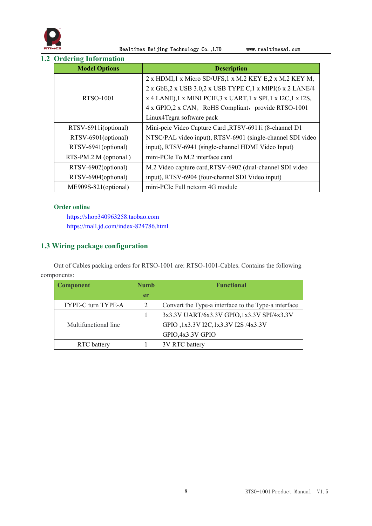

<span id="page-8-0"></span>**1.2 Ordering Information**

| <b>Model Options</b>  | <b>Description</b>                                             |
|-----------------------|----------------------------------------------------------------|
|                       | 2 x HDMI,1 x Micro SD/UFS,1 x M.2 KEY E,2 x M.2 KEY M,         |
|                       | 2 x GbE, 2 x USB 3.0, 2 x USB TYPE C, 1 x MIPI(6 x 2 LANE/4    |
| RTSO-1001             | x 4 LANE), 1 x MINI PCIE, 3 x UART, 1 x SPI, 1 x I2C, 1 x I2S, |
|                       | 4 x GPIO, 2 x CAN, RoHS Compliant, provide RTSO-1001           |
|                       | Linux4Tegra software pack                                      |
| RTSV-6911i(optional)  | Mini-pcie Video Capture Card , RTSV-6911i (8-channel D1        |
| RTSV-6901(optional)   | NTSC/PAL video input), RTSV-6901 (single-channel SDI video     |
| RTSV-6941(optional)   | input), RTSV-6941 (single-channel HDMI Video Input)            |
| RTS-PM.2.M (optional) | mini-PCIe To M.2 interface card                                |
| RTSV-6902(optional)   | M.2 Video capture card, RTSV-6902 (dual-channel SDI video      |
| RTSV-6904(optional)   | input), RTSV-6904 (four-channel SDI Video input)               |
| ME909S-821(optional)  | mini-PCIe Full netcom 4G module                                |

### **Order online**

https://shop340963258.taobao.com https://mall.jd.com/index-824786.html

### <span id="page-8-1"></span>**1.3 Wiring package configuration**

Out of Cables packing orders for RTSO-1001 are: RTSO-1001-Cables. Contains the following components:

| <b>Component</b>     | <b>Numb</b> | <b>Functional</b>                                    |  |
|----------------------|-------------|------------------------------------------------------|--|
|                      | <b>er</b>   |                                                      |  |
| TYPE-C turn TYPE-A   |             | Convert the Type-a interface to the Type-a interface |  |
|                      |             | 3x3.3V UART/6x3.3V GPIO,1x3.3V SPI/4x3.3V            |  |
| Multifunctional line |             | GPIO, 1x3.3V I2C, 1x3.3V I2S /4x3.3V                 |  |
|                      |             | GPIO, 4x3.3V GPIO                                    |  |
| RTC battery          |             | 3V RTC battery                                       |  |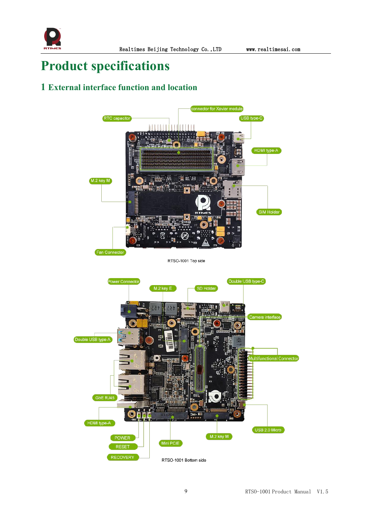

### <span id="page-9-0"></span>**Product specifications**

### <span id="page-9-1"></span>**1 External interface function and location**

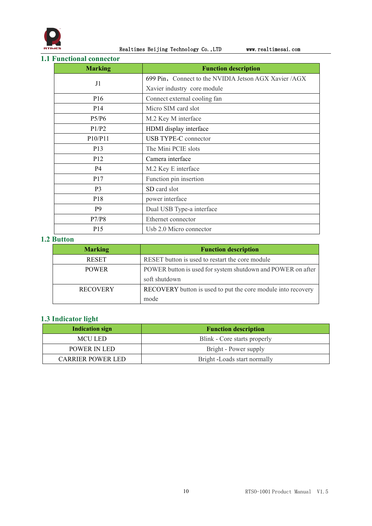

Realtimes Beijing Technology Co.,LTD www.realtimesai.com

### <span id="page-10-0"></span>**1.1 Functional connector**

| <b>Marking</b>  | <b>Function description</b>                           |
|-----------------|-------------------------------------------------------|
| J1              | 699 Pin, Connect to the NVIDIA Jetson AGX Xavier /AGX |
|                 | Xavier industry core module                           |
| P <sub>16</sub> | Connect external cooling fan                          |
| P <sub>14</sub> | Micro SIM card slot                                   |
| P5/P6           | M.2 Key M interface                                   |
| P1/P2           | HDMI display interface                                |
| P10/P11         | <b>USB TYPE-C</b> connector                           |
| P13             | The Mini PCIE slots                                   |
| P12             | Camera interface                                      |
| <b>P4</b>       | M.2 Key E interface                                   |
| P <sub>17</sub> | Function pin insertion                                |
| P <sub>3</sub>  | SD card slot                                          |
| P <sub>18</sub> | power interface                                       |
| P <sub>9</sub>  | Dual USB Type-a interface                             |
| P7/P8           | Ethernet connector                                    |
| P <sub>15</sub> | Usb 2.0 Micro connector                               |

### <span id="page-10-1"></span>**1.2 Button**

| <b>Marking</b>  | <b>Function description</b>                                  |
|-----------------|--------------------------------------------------------------|
| <b>RESET</b>    | RESET button is used to restart the core module              |
| <b>POWER</b>    | POWER button is used for system shutdown and POWER on after  |
|                 | soft shutdown                                                |
| <b>RECOVERY</b> | RECOVERY button is used to put the core module into recovery |
|                 | mode                                                         |

### <span id="page-10-2"></span>**1.3 Indicator light**

| <b>Indication sign</b> | <b>Function description</b>  |
|------------------------|------------------------------|
| <b>MCULED</b>          | Blink - Core starts properly |
| POWER IN LED           | Bright - Power supply        |
| CARRIER POWER LED      | Bright -Loads start normally |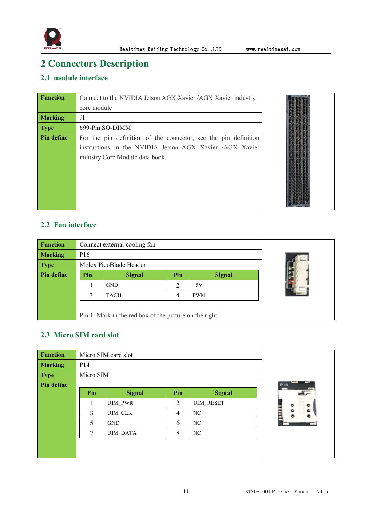

### <span id="page-11-0"></span>**2 Connectors Description**

### <span id="page-11-1"></span>**2.1 module interface**

| <b>Function</b> | Connect to the NVIDIA Jetson AGX Xavier /AGX Xavier industry                                                                                                   |  |
|-----------------|----------------------------------------------------------------------------------------------------------------------------------------------------------------|--|
|                 | core module                                                                                                                                                    |  |
| <b>Marking</b>  | J1                                                                                                                                                             |  |
| <b>Type</b>     | 699-Pin SO-DIMM                                                                                                                                                |  |
| Pin define      | For the pin definition of the connector, see the pin definition<br>instructions in the NVIDIA Jetson AGX Xavier /AGX Xavier<br>industry Core Module data book. |  |

### <span id="page-11-2"></span>**2.2 Fan interface**

| <b>Function</b> |                 | Connect external cooling fan                            |  |  |  |
|-----------------|-----------------|---------------------------------------------------------|--|--|--|
| <b>Marking</b>  | P <sub>16</sub> |                                                         |  |  |  |
| <b>Type</b>     |                 | Molex PicoBlade Header                                  |  |  |  |
| Pin define      | Pin             | <b>Signal</b>                                           |  |  |  |
|                 |                 | <b>GND</b>                                              |  |  |  |
|                 | 3               | TACH                                                    |  |  |  |
|                 |                 |                                                         |  |  |  |
|                 |                 | Pin 1: Mark in the red box of the picture on the right. |  |  |  |

### <span id="page-11-3"></span>**2.3 Micro SIM card slot**

| <b>Function</b> |                 | Micro SIM card slot |         |               |     |
|-----------------|-----------------|---------------------|---------|---------------|-----|
| <b>Marking</b>  | P <sub>14</sub> |                     |         |               |     |
| <b>Type</b>     | Micro SIM       |                     |         |               |     |
| Pin define      |                 |                     |         |               | P14 |
|                 | Pin             | <b>Signal</b>       | Pin     | <b>Signal</b> | F   |
|                 |                 | <b>UIM PWR</b>      |         |               |     |
|                 | 3               | UIM_CLK             | $\circ$ |               |     |
|                 | 5               | <b>GND</b>          | 6       | <b>NC</b>     |     |
|                 | 7               | <b>UIM DATA</b>     |         |               |     |
|                 |                 |                     |         |               |     |
|                 |                 |                     |         |               |     |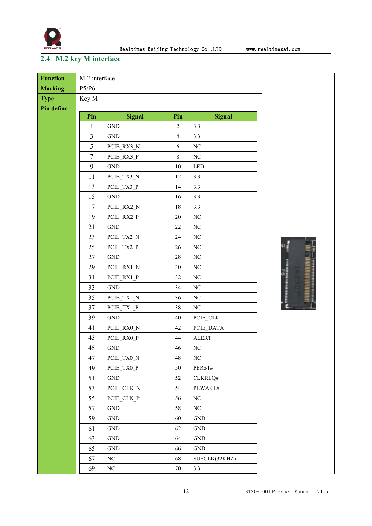

### <span id="page-12-0"></span>**2.4 M.2 key M interface**

| <b>Function</b>   | M.2 interface  |                      |                |                      |               |
|-------------------|----------------|----------------------|----------------|----------------------|---------------|
| <b>Marking</b>    | P5/P6          |                      |                |                      |               |
| <b>Type</b>       | Key M          |                      |                |                      |               |
| <b>Pin define</b> |                |                      |                |                      |               |
|                   | Pin            | <b>Signal</b>        | Pin            | <b>Signal</b>        |               |
|                   | $\mathbf{1}$   | $\operatorname{GND}$ | $\overline{2}$ | 3.3                  |               |
|                   | $\mathfrak{Z}$ | $\operatorname{GND}$ | $\overline{4}$ | 3.3                  |               |
|                   | 5              | PCIE_RX3_N           | 6              | $\rm NC$             |               |
|                   | $\tau$         | PCIE RX3 P           | $\,8\,$        | $\rm NC$             |               |
|                   | 9              | $\operatorname{GND}$ | $10\,$         | <b>LED</b>           |               |
|                   | 11             | PCIE_TX3_N           | 12             | 3.3                  |               |
|                   | 13             | PCIE TX3 P           | 14             | 3.3                  |               |
|                   | 15             | $\operatorname{GND}$ | 16             | 3.3                  |               |
|                   | 17             | PCIE_RX2_N           | $18\,$         | 3.3                  |               |
|                   | 19             | PCIE RX2 P           | 20             | $_{\mathrm{NC}}$     |               |
|                   | 21             | $\operatorname{GND}$ | 22             | $\rm NC$             |               |
|                   | 23             | PCIE_TX2_N           | 24             | $\rm NC$             |               |
|                   | 25             | PCIE TX2 P           | $26\,$         | NC                   |               |
|                   | 27             | $\operatorname{GND}$ | 28             | $\rm NC$             |               |
|                   | 29             | PCIE_RX1_N           | 30             | $\rm NC$             |               |
|                   | 31             | PCIE_RX1_P           | 32             | NC                   | $\frac{9}{2}$ |
|                   | 33             | $\operatorname{GND}$ | 34             | $\rm NC$             |               |
|                   | 35             | PCIE_TX1_N           | 36             | $\rm NC$             |               |
|                   | 37             | PCIE TX1 P           | 38             | $_{\mathrm{NC}}$     |               |
|                   | 39             | $\operatorname{GND}$ | $40\,$         | PCIE_CLK             |               |
|                   | 41             | PCIE_RX0_N           | 42             | PCIE_DATA            |               |
|                   | 43             | PCIE RX0 P           | 44             | <b>ALERT</b>         |               |
|                   | 45             | $\operatorname{GND}$ | 46             | $\rm NC$             |               |
|                   | 47             | PCIE_TX0_N           | 48             | $\rm NC$             |               |
|                   | 49             | PCIE_TX0_P           | 50             | PERST#               |               |
|                   | 51             | <b>GND</b>           | 52             | CLKREQ#              |               |
|                   | 53             | PCIE_CLK_N           | 54             | PEWAKE#              |               |
|                   | 55             | PCIE_CLK_P           | 56             | $\rm NC$             |               |
|                   | 57             | $\operatorname{GND}$ | 58             | $\rm NC$             |               |
|                   | 59             | $\operatorname{GND}$ | 60             | $\operatorname{GND}$ |               |
|                   | 61             | $\operatorname{GND}$ | 62             | $\operatorname{GND}$ |               |
|                   | 63             | $\operatorname{GND}$ | 64             | $\operatorname{GND}$ |               |
|                   | 65             | $\operatorname{GND}$ | 66             | $\operatorname{GND}$ |               |
|                   | 67             | $\rm NC$             | 68             | SUSCLK(32KHZ)        |               |
|                   | 69             | NC                   | $70\,$         | 3.3                  |               |

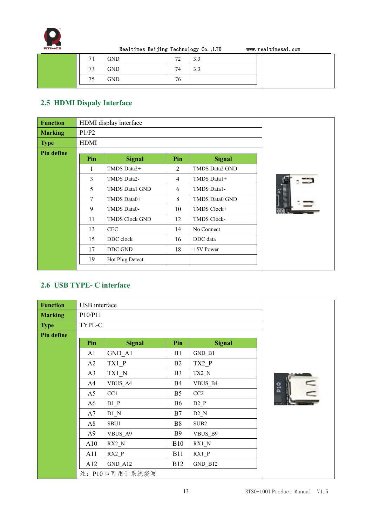

| 71                    | <b>GND</b> | 70<br><u>ے</u> | $\gamma$<br><b>J.J</b> |  |
|-----------------------|------------|----------------|------------------------|--|
| $\overline{ }$<br>ر ا | <b>GND</b> | 74             | $\sim$<br>3.3          |  |
| 75<br>ر ،             | <b>GND</b> | 76             |                        |  |
|                       |            |                |                        |  |

### <span id="page-13-0"></span>**2.5 HDMI Dispaly Interface**

| <b>Function</b>   |             | HDMI display interface |                |                       |                |
|-------------------|-------------|------------------------|----------------|-----------------------|----------------|
| <b>Marking</b>    | P1/P2       |                        |                |                       |                |
| <b>Type</b>       | <b>HDMI</b> |                        |                |                       |                |
| <b>Pin define</b> | Pin         | <b>Signal</b>          | Pin            | <b>Signal</b>         |                |
|                   |             | TMDS Data2+            | 2              | <b>TMDS Data2 GND</b> |                |
|                   | 3           | TMDS Data2-            | $\overline{4}$ | TMDS Data1+           |                |
|                   | 5           | TMDS Data1 GND         | 6              | TMDS Data1-           | ō              |
|                   | $\tau$      | TMDS Data0+            | 8              | TMDS Data0 GND        | <b>ANNANIA</b> |
|                   | 9           | TMDS Data0-            | 10             | TMDS Clock+           |                |
|                   | 11          | TMDS Clock GND         | 12             | TMDS Clock-           |                |
|                   | 13          | <b>CEC</b>             | 14             | No Connect            |                |
|                   | 15          | DDC clock              | 16             | DDC data              |                |
|                   | 17          | DDC GND                | 18             | $+5V$ Power           |                |
|                   | 19          | Hot Plug Detect        |                |                       |                |
|                   |             |                        |                |                       |                |

### <span id="page-13-1"></span>**2.6 USB TYPE- C interface**

| <b>Function</b> | USB interface  |                |                |                  |                         |
|-----------------|----------------|----------------|----------------|------------------|-------------------------|
| <b>Marking</b>  | P10/P11        |                |                |                  |                         |
| <b>Type</b>     | TYPE-C         |                |                |                  |                         |
| Pin define      |                |                |                |                  |                         |
|                 | Pin            | <b>Signal</b>  | Pin            | <b>Signal</b>    |                         |
|                 | A <sub>1</sub> | GND A1         | B1             | $GND$ $B1$       |                         |
|                 | A2             | TX1 P          | B2             | TX2 P            |                         |
|                 | A <sub>3</sub> | TX1 N          | B <sub>3</sub> | $TX2_N$          |                         |
|                 | A4             | VBUS_A4        | <b>B4</b>      | VBUS B4          | $\frac{\alpha}{\alpha}$ |
|                 | A <sub>5</sub> | CC1            | B <sub>5</sub> | CC2              | $\sum_{i=1}^{n}$        |
|                 | A6             | $D1_P$         | <b>B6</b>      | $D2_P$           |                         |
|                 | A7             | $D1_N$         | B7             | $D2_N$           |                         |
|                 | A8             | SBU1           | <b>B8</b>      | SUB <sub>2</sub> |                         |
|                 | A <sup>9</sup> | VBUS_A9        | <b>B</b> 9     | VBUS_B9          |                         |
|                 | A10            | $RX2_N$        | <b>B10</b>     | $RX1_N$          |                         |
|                 | A11            | RX2 P          | <b>B11</b>     | $RX1_P$          |                         |
|                 | A12            | $GND_A12$      | <b>B12</b>     | GND_B12          |                         |
|                 |                | 注: P10口可用于系统烧写 |                |                  |                         |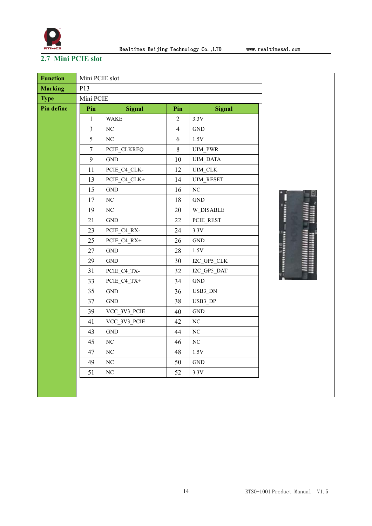

B

### <span id="page-14-0"></span>**2.7 Mini PCIE slot**

| <b>Function</b>   | Mini PCIE slot   |                      |                |                      |     |
|-------------------|------------------|----------------------|----------------|----------------------|-----|
| <b>Marking</b>    | P13              |                      |                |                      |     |
| <b>Type</b>       | Mini PCIE        |                      |                |                      |     |
| <b>Pin define</b> | Pin              | <b>Signal</b>        | Pin            | <b>Signal</b>        |     |
|                   | 1                | <b>WAKE</b>          | $\overline{2}$ | 3.3V                 |     |
|                   | 3                | $\rm NC$             | $\overline{4}$ | <b>GND</b>           |     |
|                   | 5                | NC                   | 6              | 1.5V                 |     |
|                   | $\boldsymbol{7}$ | PCIE CLKREQ          | $8\,$          | <b>UIM PWR</b>       |     |
|                   | 9                | $\operatorname{GND}$ | 10             | UIM_DATA             |     |
|                   | 11               | PCIE C4 CLK-         | 12             | UIM_CLK              |     |
|                   | 13               | PCIE_C4_CLK+         | 14             | <b>UIM RESET</b>     |     |
|                   | 15               | $\operatorname{GND}$ | 16             | $\rm NC$             |     |
|                   | 17               | $\rm NC$             | 18             | $\operatorname{GND}$ |     |
|                   | 19               | NC                   | 20             | W_DISABLE            | $-$ |
|                   | 21               | $\operatorname{GND}$ | 22             | PCIE_REST            |     |
|                   | 23               | PCIE_C4_RX-          | 24             | 3.3V                 |     |
|                   | 25               | PCIE C4 RX+          | 26             | <b>GND</b>           |     |
|                   | 27               | $\operatorname{GND}$ | 28             | $1.5\mathrm{V}$      |     |
|                   | 29               | $\operatorname{GND}$ | 30             | I2C GP5 CLK          |     |
|                   | 31               | PCIE_C4_TX-          | 32             | I2C_GP5_DAT          |     |
|                   | 33               | PCIE C4 TX+          | 34             | <b>GND</b>           |     |
|                   | 35               | $\operatorname{GND}$ | 36             | USB3 DN              |     |
|                   | 37               | <b>GND</b>           | 38             | USB3_DP              |     |
|                   | 39               | VCC_3V3_PCIE         | 40             | $\operatorname{GND}$ |     |
|                   | 41               | VCC_3V3_PCIE         | 42             | $\rm NC$             |     |
|                   | 43               | $\operatorname{GND}$ | 44             | $\rm NC$             |     |
|                   | 45               | $\rm NC$             | 46             | $\rm NC$             |     |
|                   | 47               | NC                   | 48             | $1.5\mathrm{V}$      |     |
|                   | 49               | NC                   | 50             | $\operatorname{GND}$ |     |
|                   | 51               | $\rm NC$             | 52             | 3.3V                 |     |
|                   |                  |                      |                |                      |     |
|                   |                  |                      |                |                      |     |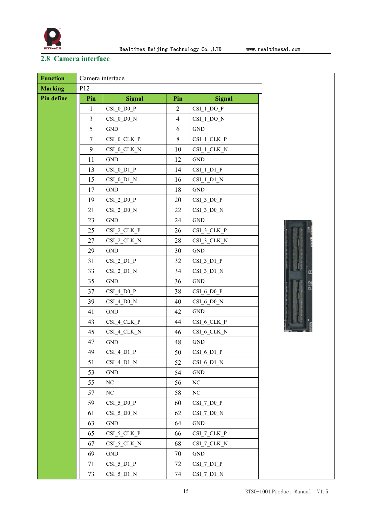

### <span id="page-15-0"></span>**2.8 Camera interface**

| <b>Function</b> | Camera interface |                      |                |                      |  |
|-----------------|------------------|----------------------|----------------|----------------------|--|
| <b>Marking</b>  | P12              |                      |                |                      |  |
| Pin define      | Pin              | <b>Signal</b>        | Pin            | <b>Signal</b>        |  |
|                 | $\mathbf{1}$     | CSI 0 D0 P           | $\overline{2}$ | CSI 1 DO P           |  |
|                 | 3                | CSI 0 D0 N           | $\overline{4}$ | CSI 1 DO N           |  |
|                 | 5                | <b>GND</b>           | 6              | <b>GND</b>           |  |
|                 | $\tau$           | CSI 0 CLK P          | $8\,$          | $CSI_1CLK_P$         |  |
|                 | 9                | CSI_0_CLK_N          | 10             | CSI 1 CLK N          |  |
|                 | 11               | $\operatorname{GND}$ | 12             | $\operatorname{GND}$ |  |
|                 | 13               | $CSI_0DI_P$          | 14             | $CSI_1DI_P$          |  |
|                 | 15               | $CSI_0DI_N$          | 16             | CSI 1 D1 N           |  |
|                 | 17               | $\operatorname{GND}$ | 18             | <b>GND</b>           |  |
|                 | 19               | $CSI_2_D0_P$         | 20             | $CSI_3_D0_P$         |  |
|                 | 21               | CSI 2 D0 N           | 22             | CSI 3 D0 N           |  |
|                 | 23               | <b>GND</b>           | 24             | <b>GND</b>           |  |
|                 | 25               | $CSI_2CLK_P$         | 26             | $CSI_3$ CLK $P$      |  |
|                 | 27               | CSI_2_CLK_N          | 28             | CSI_3_CLK_N          |  |
|                 | 29               | <b>GND</b>           | 30             | $\operatorname{GND}$ |  |
|                 | 31               | $CSI_2DI_P$          | 32             | $CSI_3DI_P$          |  |
|                 | 33               | $CSI_2DI_N$          | 34             | $CSI_3DI_N$          |  |
|                 | 35               | <b>GND</b>           | 36             | $\operatorname{GND}$ |  |
|                 | 37               | $CSI_4_D0_P$         | 38             | CSI 6 D0 P           |  |
|                 | 39               | $CSI_4_D0_N$         | 40             | CSI 6 D0 N           |  |
|                 | 41               | <b>GND</b>           | 42             | $\operatorname{GND}$ |  |
|                 | 43               | $CSI_4CLK_P$         | 44             | $CSI_6$ CLK $P$      |  |
|                 | 45               | CSI_4_CLK_N          | 46             | CSI_6_CLK_N          |  |
|                 | 47               | <b>GND</b>           | 48             | <b>GND</b>           |  |
|                 | 49               | $CSI_4_D1_P$         | 50             | $CSI_6DI_P$          |  |
|                 | 51               | CSI 4 D1 N           | 52             | CSI 6 D1 N           |  |
|                 | 53               | $\operatorname{GND}$ | 54             | $\operatorname{GND}$ |  |
|                 | 55               | $\rm NC$             | 56             | $\rm NC$             |  |
|                 | 57               | $\rm NC$             | 58             | $\rm NC$             |  |
|                 | 59               | $CSI_5_D0_P$         | 60             | $CSI_7_D0_P$         |  |
|                 | 61               | CSI 5 D0 N           | 62             | $CSI_7_D0_N$         |  |
|                 | 63               | $\operatorname{GND}$ | 64             | $\operatorname{GND}$ |  |
|                 | 65               | CSI_5_CLK_P          | 66             | CSI 7 CLK P          |  |
|                 | 67               | CSI_5_CLK_N          | 68             | CSI_7_CLK_N          |  |
|                 | 69               | $\operatorname{GND}$ | 70             | $\operatorname{GND}$ |  |
|                 | 71               | $CSI_5DI_P$          | 72             | $CSI_7DI_P$          |  |
|                 | 73               | CSI 5 D1 N           | 74             | CSI 7 D1 N           |  |

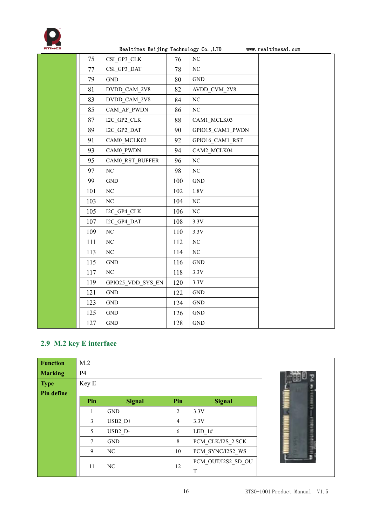

|     | rearrimes beijing rechnology co., Lip |     |                      | www.rearcimesai.com |
|-----|---------------------------------------|-----|----------------------|---------------------|
| 75  | CSI_GP3_CLK                           | 76  | $\rm NC$             |                     |
| 77  | CSI_GP3_DAT                           | 78  | $\rm NC$             |                     |
| 79  | $\operatorname{GND}$                  | 80  | $\operatorname{GND}$ |                     |
| 81  | DVDD_CAM_2V8                          | 82  | AVDD_CVM_2V8         |                     |
| 83  | DVDD CAM 2V8                          | 84  | $\rm NC$             |                     |
| 85  | CAM_AF_PWDN                           | 86  | $\rm NC$             |                     |
| 87  | I2C_GP2_CLK                           | 88  | CAM1_MCLK03          |                     |
| 89  | I2C_GP2_DAT                           | 90  | GPIO15_CAM1_PWDN     |                     |
| 91  | CAM0_MCLK02                           | 92  | GPIO16_CAM1_RST      |                     |
| 93  | CAM0 PWDN                             | 94  | CAM2 MCLK04          |                     |
| 95  | CAM0 RST BUFFER                       | 96  | NC                   |                     |
| 97  | $\rm NC$                              | 98  | $\rm NC$             |                     |
| 99  | $\operatorname{GND}$                  | 100 | $\operatorname{GND}$ |                     |
| 101 | $\rm NC$                              | 102 | $1.8\mathrm{V}$      |                     |
| 103 | NC                                    | 104 | $\rm NC$             |                     |
| 105 | I2C_GP4_CLK                           | 106 | $\rm NC$             |                     |
| 107 | I2C_GP4_DAT                           | 108 | 3.3V                 |                     |
| 109 | $\rm NC$                              | 110 | 3.3V                 |                     |
| 111 | $\rm NC$                              | 112 | $\rm NC$             |                     |
| 113 | NC                                    | 114 | NC                   |                     |
| 115 | $\operatorname{GND}$                  | 116 | $\operatorname{GND}$ |                     |
| 117 | $\rm NC$                              | 118 | 3.3V                 |                     |
| 119 | GPIO25_VDD_SYS_EN                     | 120 | 3.3V                 |                     |
| 121 | $\operatorname{GND}$                  | 122 | $\operatorname{GND}$ |                     |
| 123 | <b>GND</b>                            | 124 | <b>GND</b>           |                     |
| 125 | $\operatorname{GND}$                  | 126 | $\operatorname{GND}$ |                     |
| 127 | <b>GND</b>                            | 128 | $\operatorname{GND}$ |                     |

### <span id="page-16-0"></span>**2.9 M.2 key E interface**

| <b>Function</b> | M.2   |               |     |                    |  |
|-----------------|-------|---------------|-----|--------------------|--|
| <b>Marking</b>  | P4    |               |     |                    |  |
| <b>Type</b>     | Key E |               |     |                    |  |
| Pin define      |       |               |     |                    |  |
|                 | Pin   | <b>Signal</b> | Pin | <b>Signal</b>      |  |
|                 |       | <b>GND</b>    | 2   | 3.3V               |  |
|                 | 3     | $USB2$ D+     | 4   | 3.3V               |  |
|                 | 5     | USB2 D-       | 6   | LED 1#             |  |
|                 | 7     | <b>GND</b>    | 8   | PCM CLK/I2S 2 SCK  |  |
|                 | 9     | NC            | 10  | PCM SYNC/I2S2 WS   |  |
|                 | 11    | NC            | 12  | PCM OUT/I2S2 SD OU |  |
|                 |       |               |     | T                  |  |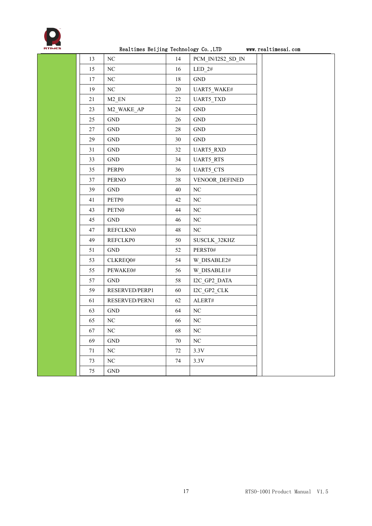

|        | Realthmes Deljing rechnology CO., LID |        |                      | WWW.ICCTTIMCSCT.COM |
|--------|---------------------------------------|--------|----------------------|---------------------|
| 13     | NC                                    | 14     | PCM_IN/I2S2_SD_IN    |                     |
| 15     | $\rm NC$                              | 16     | $LED_2#$             |                     |
| 17     | $\rm NC$                              | $18\,$ | GND                  |                     |
| 19     | $\rm NC$                              | 20     | UART5_WAKE#          |                     |
| 21     | $M2$ <sub>_</sub> EN                  | 22     | UART5_TXD            |                     |
| 23     | M2_WAKE_AP                            | 24     | GND                  |                     |
| 25     | $\operatorname{GND}$                  | $26\,$ | $\operatorname{GND}$ |                     |
| 27     | GND                                   | 28     | $\operatorname{GND}$ |                     |
| 29     | <b>GND</b>                            | 30     | GND                  |                     |
| 31     | $\operatorname{GND}$                  | 32     | <b>UART5_RXD</b>     |                     |
| 33     | $\operatorname{GND}$                  | 34     | <b>UART5_RTS</b>     |                     |
| 35     | PERP0                                 | 36     | <b>UART5_CTS</b>     |                     |
| 37     | <b>PERNO</b>                          | 38     | VENOOR_DEFINED       |                     |
| 39     | <b>GND</b>                            | 40     | NC                   |                     |
| 41     | PETP0                                 | 42     | $\rm NC$             |                     |
| 43     | PETN <sub>0</sub>                     | 44     | $\rm NC$             |                     |
| 45     | $\operatorname{GND}$                  | 46     | $\rm NC$             |                     |
| 47     | <b>REFCLKN0</b>                       | 48     | NC                   |                     |
| 49     | <b>REFCLKP0</b>                       | 50     | SUSCLK 32KHZ         |                     |
| 51     | $\operatorname{GND}$                  | 52     | PERST0#              |                     |
| 53     | CLKREQ0#                              | 54     | W_DISABLE2#          |                     |
| 55     | PEWAKE0#                              | 56     | W_DISABLE1#          |                     |
| 57     | <b>GND</b>                            | 58     | I2C GP2 DATA         |                     |
| 59     | RESERVED/PERP1                        | 60     | I2C_GP2_CLK          |                     |
| 61     | RESERVED/PERN1                        | 62     | ${\sf ALERT\#}$      |                     |
| 63     | <b>GND</b>                            | 64     | NC                   |                     |
| 65     | NC                                    | 66     | NC                   |                     |
| 67     | NC                                    | 68     | NC                   |                     |
| 69     | $\operatorname{GND}$                  | 70     | NC                   |                     |
| 71     | $\rm NC$                              | 72     | 3.3V                 |                     |
| 73     | ${\rm NC}$                            | 74     | 3.3V                 |                     |
| $75\,$ | $\operatorname{GND}$                  |        |                      |                     |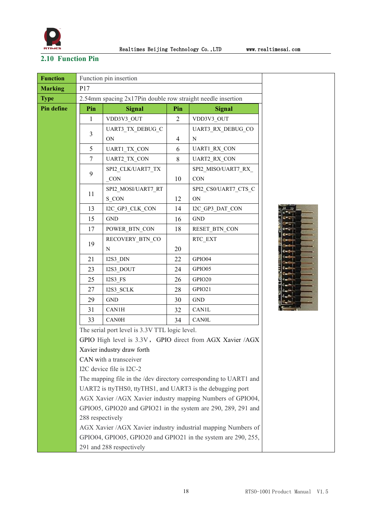

### <span id="page-18-0"></span>**2.10 Function Pin**

| <b>Function</b> |                  | Function pin insertion                                      |                |                                                                   |  |
|-----------------|------------------|-------------------------------------------------------------|----------------|-------------------------------------------------------------------|--|
| <b>Marking</b>  | P17              |                                                             |                |                                                                   |  |
| <b>Type</b>     |                  | 2.54mm spacing 2x17Pin double row straight needle insertion |                |                                                                   |  |
| Pin define      | Pin              | <b>Signal</b>                                               | Pin            | <b>Signal</b>                                                     |  |
|                 | 1                | VDD3V3_OUT                                                  | $\overline{2}$ | VDD3V3_OUT                                                        |  |
|                 |                  | UART3_TX_DEBUG_C                                            |                | UART3_RX_DEBUG_CO                                                 |  |
|                 | 3                | ON                                                          | 4              | N                                                                 |  |
|                 | 5                | UART1_TX_CON                                                | 6              | <b>UART1 RX CON</b>                                               |  |
|                 | $\tau$           | UART2_TX_CON                                                | 8              | UART2_RX_CON                                                      |  |
|                 |                  | SPI2_CLK/UART7_TX                                           |                | SPI2_MISO/UART7_RX                                                |  |
|                 | 9                | CON                                                         | 10             | <b>CON</b>                                                        |  |
|                 |                  | SPI2_MOSI/UART7_RT                                          |                | SPI2_CS0/UART7_CTS_C                                              |  |
|                 | 11               | S CON                                                       | 12             | <b>ON</b>                                                         |  |
|                 | 13               | I2C_GP3_CLK_CON                                             | 14             | I2C_GP3_DAT_CON                                                   |  |
|                 | 15               | <b>GND</b>                                                  | 16             | <b>GND</b>                                                        |  |
|                 | 17               | POWER BTN CON                                               | 18             | RESET_BTN_CON                                                     |  |
|                 |                  | RECOVERY_BTN_CO                                             |                | RTC_EXT                                                           |  |
|                 | 19               | $\mathbf N$                                                 | 20             |                                                                   |  |
|                 | 21               | $I2S3_DIN$                                                  | 22             | GPIO04                                                            |  |
|                 | 23               | I2S3_DOUT                                                   | 24             | GPIO05                                                            |  |
|                 | 25               | $I2S3$ <sub>_FS</sub>                                       | 26             | GPIO20                                                            |  |
|                 | 27               | I2S3_SCLK                                                   | 28             | GPIO21                                                            |  |
|                 | 29               | <b>GND</b>                                                  | 30             | <b>GND</b>                                                        |  |
|                 | 31               | CAN1H                                                       | 32             | <b>CAN1L</b>                                                      |  |
|                 | 33               | CAN0H                                                       | 34             | <b>CAN0L</b>                                                      |  |
|                 |                  | The serial port level is 3.3V TTL logic level.              |                |                                                                   |  |
|                 |                  |                                                             |                | GPIO High level is 3.3V, GPIO direct from AGX Xavier /AGX         |  |
|                 |                  | Xavier industry draw forth                                  |                |                                                                   |  |
|                 |                  | CAN with a transceiver                                      |                |                                                                   |  |
|                 |                  | I2C device file is I2C-2                                    |                |                                                                   |  |
|                 |                  |                                                             |                | The mapping file in the /dev directory corresponding to UART1 and |  |
|                 |                  | UART2 is ttyTHS0, ttyTHS1, and UART3 is the debugging port  |                |                                                                   |  |
|                 |                  |                                                             |                | AGX Xavier /AGX Xavier industry mapping Numbers of GPIO04,        |  |
|                 |                  |                                                             |                | GPIO05, GPIO20 and GPIO21 in the system are 290, 289, 291 and     |  |
|                 | 288 respectively |                                                             |                |                                                                   |  |
|                 |                  |                                                             |                | AGX Xavier /AGX Xavier industry industrial mapping Numbers of     |  |
|                 |                  |                                                             |                | GPIO04, GPIO05, GPIO20 and GPIO21 in the system are 290, 255,     |  |
|                 |                  | 291 and 288 respectively                                    |                |                                                                   |  |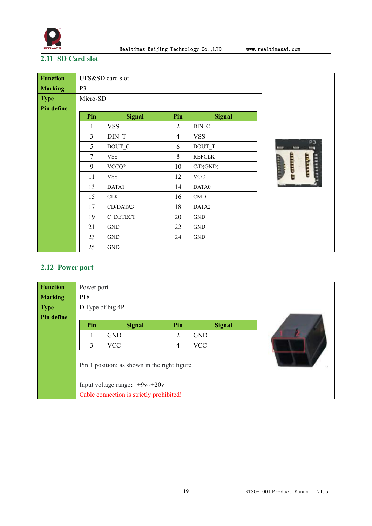

### <span id="page-19-0"></span>**2.11 SD Card slot**

| <b>Function</b> |                | UFS&SD card slot |                |                           |          |
|-----------------|----------------|------------------|----------------|---------------------------|----------|
| <b>Marking</b>  | P <sub>3</sub> |                  |                |                           |          |
| <b>Type</b>     | Micro-SD       |                  |                |                           |          |
| Pin define      |                |                  |                |                           |          |
|                 | Pin            | <b>Signal</b>    | Pin            | <b>Signal</b>             |          |
|                 | 1              | <b>VSS</b>       | $\overline{2}$ | $DIN_C$                   |          |
|                 | $\overline{3}$ | DIN T            | $\overline{4}$ | <b>VSS</b>                |          |
|                 | 5              | DOUT_C           | 6              | DOUT_T                    |          |
|                 | $\overline{7}$ | <b>VSS</b>       | $\,8\,$        | <b>REFCLK</b>             |          |
|                 | 9              | VCCQ2            | 10             | C/D(GND)                  | ramm<br> |
|                 | 11             | <b>VSS</b>       | 12             | $\ensuremath{\text{VCC}}$ |          |
|                 | 13             | DATA1            | 14             | DATA0                     |          |
|                 | 15             | CLK              | 16             | $\mathop{\mathrm{CMD}}$   |          |
|                 | 17             | CD/DATA3         | 18             | DATA2                     |          |
|                 | 19             | C_DETECT         | 20             | $\operatorname{GND}$      |          |
|                 | 21             | <b>GND</b>       | 22             | $\operatorname{GND}$      |          |
|                 | 23             | <b>GND</b>       | 24             | <b>GND</b>                |          |
|                 | 25             | <b>GND</b>       |                |                           |          |

### <span id="page-19-1"></span>**2.12 Power port**

| <b>Function</b> | Power port       |                                              |                |               |  |
|-----------------|------------------|----------------------------------------------|----------------|---------------|--|
| <b>Marking</b>  | P18              |                                              |                |               |  |
| <b>Type</b>     | D Type of big 4P |                                              |                |               |  |
| Pin define      |                  |                                              |                |               |  |
|                 | Pin              | <b>Signal</b>                                | Pin            | <b>Signal</b> |  |
|                 |                  | <b>GND</b>                                   | $\overline{2}$ | <b>GND</b>    |  |
|                 | 3                | <b>VCC</b>                                   | 4              | <b>VCC</b>    |  |
|                 |                  | Pin 1 position: as shown in the right figure |                |               |  |
|                 |                  | Input voltage range: $+9v$ $+20v$            |                |               |  |
|                 |                  | Cable connection is strictly prohibited!     |                |               |  |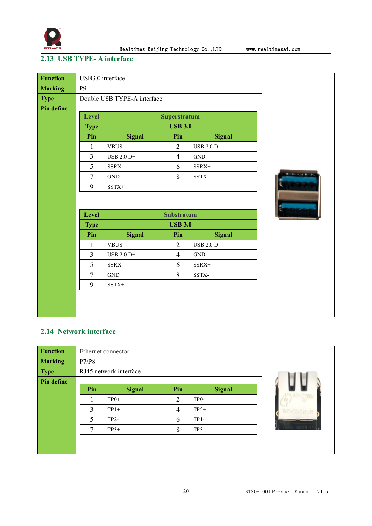

### <span id="page-20-0"></span>**2.13 USB TYPE- A interface**

| <b>Function</b> | USB3.0 interface |                             |                   |                      |        |
|-----------------|------------------|-----------------------------|-------------------|----------------------|--------|
| <b>Marking</b>  | P <sub>9</sub>   |                             |                   |                      |        |
| <b>Type</b>     |                  | Double USB TYPE-A interface |                   |                      |        |
| Pin define      |                  |                             |                   |                      |        |
|                 | Level            | Superstratum                |                   |                      |        |
|                 | <b>Type</b>      |                             |                   |                      |        |
|                 | Pin              | <b>Signal</b>               | Pin               | <b>Signal</b>        |        |
|                 | $\mathbf{1}$     | <b>VBUS</b>                 | $\overline{2}$    | <b>USB 2.0 D-</b>    |        |
|                 | $\overline{3}$   | USB 2.0 D+                  | $\overline{4}$    | $\operatorname{GND}$ |        |
|                 | 5                | SSRX-                       | 6                 | SSRX+                |        |
|                 | $\overline{7}$   | $\operatorname{GND}$        | 8                 | SSTX-                | $\sim$ |
|                 | 9                | SSTX+                       |                   |                      |        |
|                 |                  |                             |                   |                      |        |
|                 |                  |                             |                   |                      |        |
|                 | Level            |                             | <b>Substratum</b> |                      |        |
|                 | <b>Type</b>      |                             | <b>USB 3.0</b>    |                      |        |
|                 | Pin              | <b>Signal</b>               | Pin               | <b>Signal</b>        |        |
|                 | $\mathbf{1}$     | <b>VBUS</b>                 | $\overline{2}$    | <b>USB 2.0 D-</b>    |        |
|                 | $\overline{3}$   | USB 2.0 D+                  | $\overline{4}$    | $\operatorname{GND}$ |        |
|                 | 5                | SSRX-                       | 6                 | $SSRX+$              |        |
|                 | $\overline{7}$   | $\operatorname{GND}$        | 8                 | SSTX-                |        |
|                 | 9                | SSTX+                       |                   |                      |        |
|                 |                  |                             |                   |                      |        |
|                 |                  |                             |                   |                      |        |
|                 |                  |                             |                   |                      |        |

### <span id="page-20-1"></span>**2.14 Network interface**

| <b>Function</b> |        | Ethernet connector     |                |                   |  |
|-----------------|--------|------------------------|----------------|-------------------|--|
| <b>Marking</b>  | P7/P8  |                        |                |                   |  |
| <b>Type</b>     |        | RJ45 network interface |                |                   |  |
| Pin define      |        |                        |                |                   |  |
|                 | Pin    | <b>Signal</b>          | Pin            | <b>Signal</b>     |  |
|                 |        | $TP0+$                 | $\overline{2}$ | TP <sub>0</sub> - |  |
|                 | 3      | $TP1+$                 | $\overline{4}$ | $TP2+$            |  |
|                 | 5      | $TP2-$                 | 6              | $TP1-$            |  |
|                 | $\tau$ | $TP3+$                 | 8              | $TP3-$            |  |
|                 |        |                        |                |                   |  |
|                 |        |                        |                |                   |  |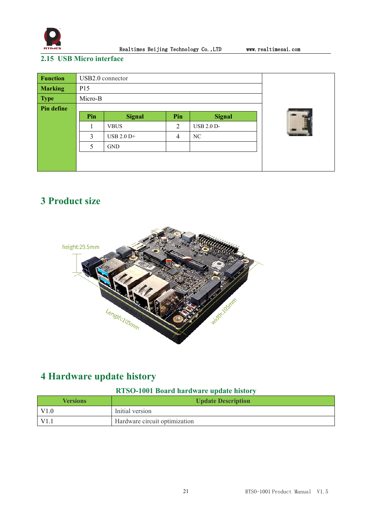

### <span id="page-21-0"></span>**2.15 USB Micro interface**

| <b>Function</b> | USB2.0 connector |               |                |                   |  |
|-----------------|------------------|---------------|----------------|-------------------|--|
| <b>Marking</b>  | P15              |               |                |                   |  |
| <b>Type</b>     | Micro-B          |               |                |                   |  |
| Pin define      |                  |               |                |                   |  |
|                 | Pin              | <b>Signal</b> | Pin            | <b>Signal</b>     |  |
|                 |                  | <b>VBUS</b>   | 2              | <b>USB 2.0 D-</b> |  |
|                 | 3                | USB $2.0$ D+  | $\overline{4}$ | NC                |  |
|                 | 5                | <b>GND</b>    |                |                   |  |
|                 |                  |               |                |                   |  |
|                 |                  |               |                |                   |  |

### <span id="page-21-1"></span>**3 Product size**



### <span id="page-21-2"></span>**4 Hardware update history**

### **RTSO-1001 Board hardware update history**

| <b>Versions</b> | <b>Update Description</b>     |  |  |  |  |
|-----------------|-------------------------------|--|--|--|--|
| V1.0            | Initial version               |  |  |  |  |
| "V1             | Hardware circuit optimization |  |  |  |  |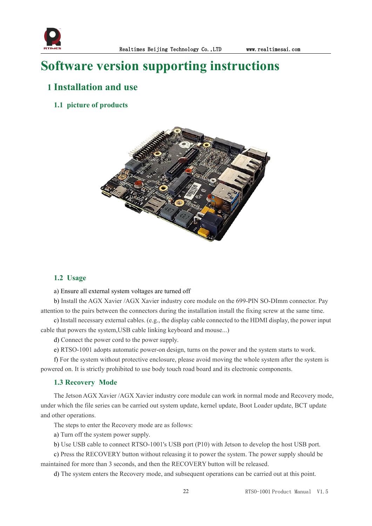

### <span id="page-22-0"></span>**Software version supporting instructions**

### <span id="page-22-1"></span>**1 Installation and use**

<span id="page-22-2"></span>**1.1 picture of products**



#### <span id="page-22-3"></span>**1.2 Usage**

#### a) Ensure all external system voltages are turned off

b) Install the AGX Xavier /AGX Xavier industry core module on the 699-PIN SO-DImm connector.Pay attention to the pairs between the connectors during the installation install the fixing screw at the same time.

c) Install necessary external cables. (e.g., the display cable connected to the HDMI display, the power input cable that powers the system,USB cable linking keyboard and mouse...)

d) Connect the power cord to the power supply.

e) RTSO-1001 adopts automatic power-on design, turns on the power and the system starts to work.

f) For the system without protective enclosure, please avoid moving the whole system after the system is powered on. It is strictly prohibited to use body touch road board and its electronic components.

#### <span id="page-22-4"></span>**1.3 Recovery Mode**

The Jetson AGX Xavier /AGX Xavier industry core module can work in normal mode and Recovery mode, under which the file series can be carried out system update, kernel update, Boot Loader update, BCT update and other operations.

The steps to enter the Recovery mode are as follows:

a) Turn off the system power supply.

b) Use USB cable to connect RTSO-1001's USB port (P10) with Jetson to develop the host USB port.

c) Press the RECOVERY button without releasing it to power the system. The power supply should be maintained for more than 3 seconds, and then the RECOVERY button will be released.

d) The system enters the Recovery mode, and subsequent operations can be carried out at this point.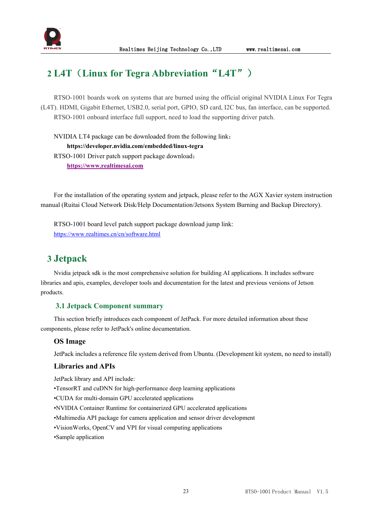

### <span id="page-23-0"></span>**2 L4T**(**Linux for Tegra Abbreviation**"**L4T**")

RTSO-1001 boards work on systems that are burned using the official original NVIDIA Linux For Tegra (L4T). HDMI, Gigabit Ethernet, USB2.0, serial port, GPIO, SD card, I2C bus, fan interface, can be supported. RTSO-1001 onboard interface full support, need to load the supporting driver patch.

NVIDIA LT4 package can be downloaded from the following link: **https://developer.nvidia.com/embedded/linux-tegra** RTSO-1001 Driver patch support package download: **[https://www.realtimesai.com](https://www.realtimesai.com/en/software.html)**

For the installation of the operating system and jetpack, please refer to the AGX Xavier system instruction manual (Ruitai Cloud Network Disk/Help Documentation/Jetsonx System Burning and Backup Directory).<br>RTSO-1001 board level patch support package download jump link:

<https://www.realtimes.cn/cn/software.html>

### <span id="page-23-1"></span>**3 Jetpack**

Nvidia jetpack sdk is the most comprehensive solution for building AI applications. It includes software libraries and apis, examples, developer tools and documentation for the latest and previous versions of Jetson products.

#### <span id="page-23-2"></span>**3.1 Jetpack Component summary**

This section briefly introduces each component of JetPack. For more detailed information about these components, please refer to JetPack's online documentation.

#### **OS Image**

JetPack includes a reference file system derived from Ubuntu. (Development kit system, no need to install)

#### **Libraries and APIs**

JetPack library and API include:

•TensorRT and cuDNN for high-performance deep learning applications

•CUDA for multi-domain GPU accelerated applications

•NVIDIA Container Runtime for containerized GPU accelerated applications

•Multimedia API package for camera application and sensor driver development

•VisionWorks, OpenCV and VPI for visual computing applications

•Sample application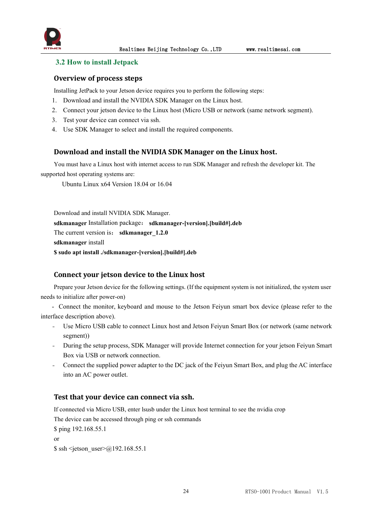

#### <span id="page-24-0"></span>**3.2 How to install Jetpack**

#### **Overview of process steps**

Installing JetPack to your Jetson device requires you to perform the following steps:

- 1. Download and install the NVIDIA SDK Manager on the Linux host.
- 2. Connect your jetson device to the Linux host (Micro USB or network (same network segment).
- 3. Test your device can connect via ssh.
- 4. Use SDK Manager to select and install the required components.

### **Download and install the NVIDIA SDK Manager on the Linux host.**

You must have a Linux host with internet access to run SDK Manager and refresh the developer kit.The supported host operating systems are:

Ubuntu Linux x64 Version 18.04 or 16.04

Download and install NVIDIA SDK Manager. **sdkmanager** Installation package: **sdkmanager-[version].[build#].deb** The current version is: **sdkmanager** 1.2.0 **sdkmanager** install **\$ sudo apt install ./sdkmanager-[version].[build#].deb**

#### **Connect your jetson device to the Linux host**

Prepare your Jetson device for the following settings. (If the equipment system is not initialized, the system user needs to initialize after power-on)

- Connect the monitor, keyboard and mouse to the Jetson Feiyun smart box device (please refer to the interface description above).

- Use Micro USB cable to connect Linux host and Jetson Feiyun Smart Box (or network (same network segment))
- During the setup process, SDK Manager will provide Internet connection for your jetson Feiyun Smart Box via USB or network connection.
- Connect the supplied power adapter to the DC jack of the Feiyun Smart Box, and plug the AC interface into an AC power outlet.

#### **Test that your device can connect via ssh.**

If connected via Micro USB, enter lsusb under the Linux host terminal to see the nvidia crop

The device can be accessed through ping or ssh commands

\$ ping 192.168.55.1

or  $\$  ssh <ietson user> $@192.168.55.1$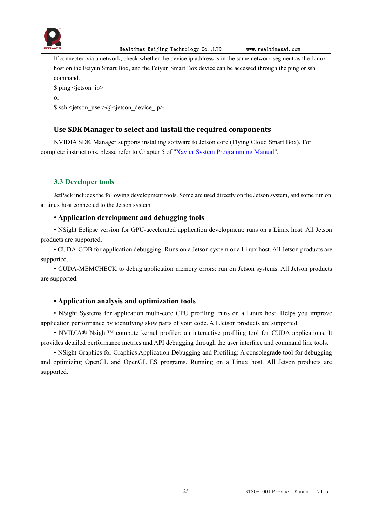

If connected via a network, check whether the device ip address is in the same network segment as the Linux host on the Feiyun Smart Box, and the Feiyun Smart Box device can be accessed through the ping or ssh command.

```
$ ping <jetson ip>
or
\ ssh <jetson user>@ <jetson device ip>
```
### **Use SDK Manager to select and install the required components**

NVIDIA SDK Manager supports installing software to Jetson core (Flying Cloud Smart Box). For complete instructions, please referto Chapter 5 of "Xavier System [Programming](http://yun.realtimes.cn/) Manual".

### <span id="page-25-0"></span>**3.3 Developer tools**

JetPack includes the following development tools. Some are used directly on the Jetson system, and some run on a Linux host connected to the Jetson system.

### **• Application development and debugging tools**

• NSight Eclipse version for GPU-accelerated application development: runs on a Linux host. All Jetson products are supported.

• CUDA-GDB for application debugging: Runs on a Jetson system or a Linux host. All Jetson products are supported.

• CUDA-MEMCHECK to debug application memory errors: run on Jetson systems. All Jetson products are supported.

### **• Application analysis and optimization tools**

• NSight Systems for application multi-core CPU profiling: runs on a Linux host. Helps you improve application performance by identifying slow parts of your code. All Jetson products are supported.

• NVIDIA® Nsight<sup>™</sup> compute kernel profiler: an interactive profiling tool for CUDA applications. It provides detailed performance metrics and API debugging through the user interface and command line tools.

• NSight Graphics for Graphics Application Debugging and Profiling: A consolegrade tool for debugging and optimizing OpenGL and OpenGL ES programs. Running on a Linux host. All Jetson products are supported.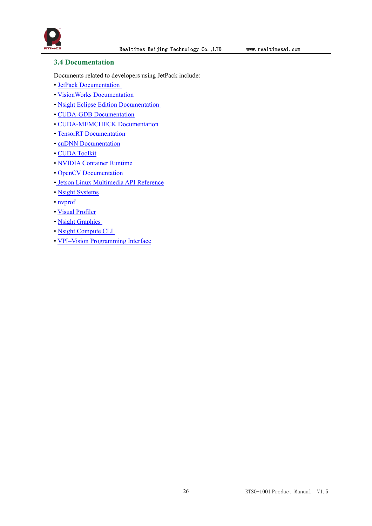

### <span id="page-26-0"></span>**3.4 Documentation**

Documents related to developers using JetPack include:

- JetPack [Documentation](https://docs.nvidia.com/jetson/jetpack/index.html)
- VisionWorks [Documentation](https://developer.nvidia.com/embedded/visionworks)
- Nsight Eclipse Edition [Documentation](https://docs.nvidia.com/cuda/nsight-eclipse-edition-getting-started-guide/index.html)
- CUDA-GDB [Documentation](http://docs.nvidia.com/cuda/cuda-gdb/index.html)
- [CUDA-MEMCHECK](http://docs.nvidia.com/cuda/cuda-memcheck/index.html) Documentation
- TensorRT [Documentation](https://docs.nvidia.com/deeplearning/sdk/tensorrt-developer-guide/index.html)
- cuDNN [Documentation](https://docs.nvidia.com/deeplearning/sdk/cudnn-developer-guide/index.html)
- CUDA [Toolkit](https://docs.nvidia.com/cuda/index.html)
- NVIDIA [Container](https://www.google.com/url?q=https://github.com/NVIDIA/nvidia-docker/wiki%23platform-support&sa=D&ust=1562106101392000&usg=AFQjCNG6YZBlyXRWjcpGIYF8fkBkYt9RsA) Runtime
- OpenCV [Documentation](https://developer.nvidia.com/opencv)
- Jetson Linux [Multimedia](https://docs.nvidia.com/jetson/l4t-multimedia/index.html) API Reference
- Nsight [Systems](https://docs.nvidia.com/nsight-systems/index.html)
- [nvprof](https://docs.nvidia.com/cuda/profiler-users-guide/index.html)
- Visual [Profiler](http://docs.nvidia.com/cuda/profiler-users-guide/index.html)
- Nsight [Graphics](https://docs.nvidia.com/nsight-graphics/index.html)
- Nsight [Compute](https://docs.nvidia.com/nsight-compute/NsightComputeCli/index.html) CLI
- VPI–Vision [Programming](https://docs.nvidia.com/vpi/index.html) Interface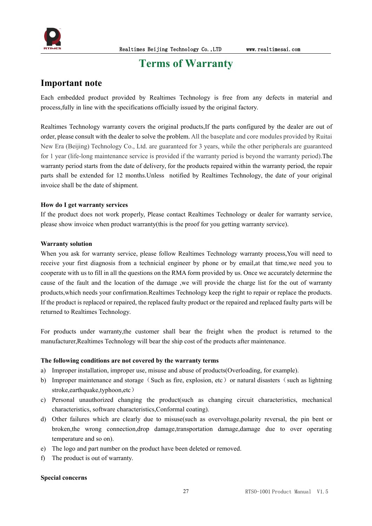

### <span id="page-27-0"></span>**Terms of Warranty**

### **Important note**

Each embedded product provided by Realtimes Technology is free from any defects in material and process,fully in line with the specifications officially issued by the original factory.

Realtimes Technology warranty covers the original products,If the parts configured by the dealer are out of order, please consultwith the dealer to solve the problem. All the baseplate and core modules provided by Ruitai New Era (Beijing) Technology Co., Ltd. are guaranteed for 3 years, while the other peripherals are guaranteed for 1 year (life-long maintenance service is provided if the warranty period is beyond the warranty period).The warranty period starts from the date of delivery, for the products repaired within the warranty period, the repair parts shall be extended for 12 months.Unless notified by Realtimes Technology, the date of your original invoice shall be the date of shipment.

#### **How do I get warranty services**

If the product does not work properly, Please contact Realtimes Technology or dealer for warranty service, please show invoice when product warranty(this is the proof for you getting warranty service).

#### **Warranty solution**

When you ask for warranty service, please follow Realtimes Technology warranty process,You will need to receive your first diagnosis from a technicial engineer by phone or by email,at that time,we need you to cooperate with us to fill in all the questions on the RMA form provided by us. Once we accurately determine the cause of the fault and the location of the damage ,we will provide the charge list for the out of warranty products,which needs your confirmation.Realtimes Technology keep the right to repair or replace the products. If the product is replaced or repaired, the replaced faulty product or the repaired and replaced faulty parts will be returned to Realtimes Technology.

For products under warranty,the customer shall bear the freight when the product is returned to the manufacturer,Realtimes Technology will bear the ship cost of the products after maintenance.

#### **The following conditions are not covered by the warranty terms**

- a) Improper installation, improper use, misuse and abuse of products(Overloading, for example).
- b) Improper maintenance and storage (Such as fire, explosion, etc) or natural disasters (such as lightning stroke,earthquake,typhoon,etc)
- c) Personal unauthorized changing the product(such as changing circuit characteristics, mechanical characteristics, software characteristics,Conformal coating).
- d) Other failures which are clearly due to misuse(such as overvoltage,polarity reversal, the pin bent or broken,the wrong connection,drop damage,transportation damage,damage due to over operating temperature and so on).
- e) The logo and part number on the product have been deleted or removed.
- f) The product is out of warranty.

#### **Special concerns**